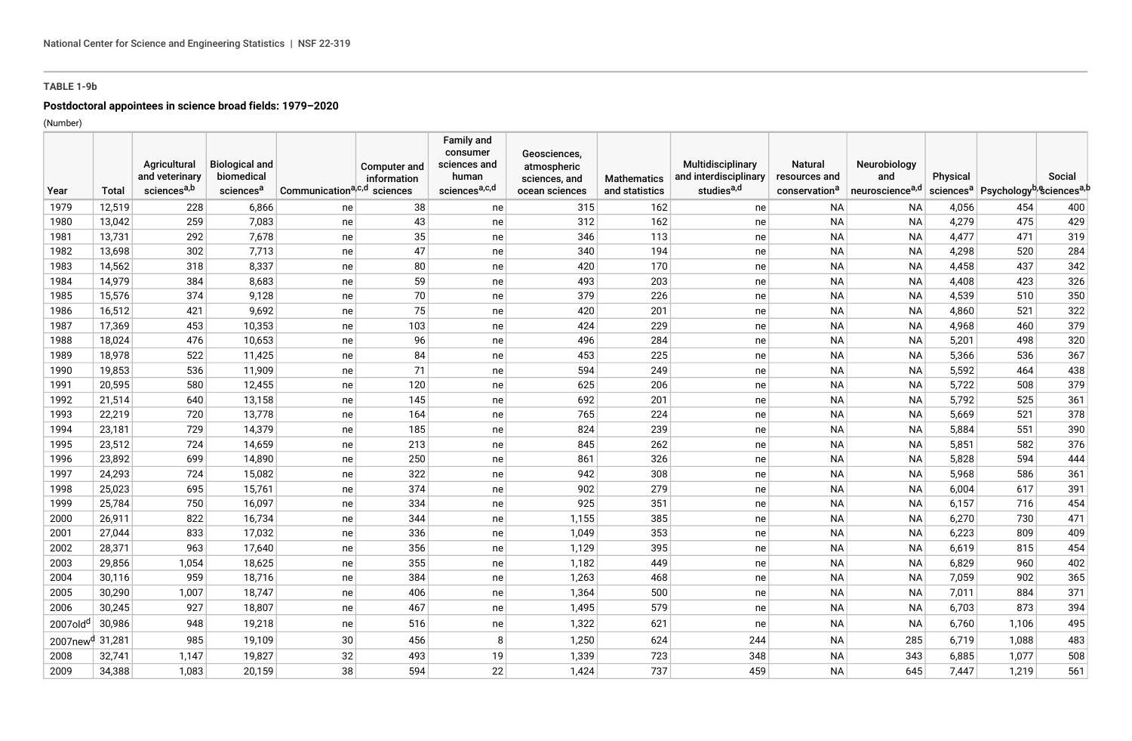# **TABLE 1-9b**

# **Postdoctoral appointees in science broad fields: 1979–2020**

(Number)

|                             |        | Agricultural            | <b>Biological and</b> |                                         | <b>Computer and</b> | <b>Family and</b><br>consumer<br>sciences and | Geosciences,<br>atmospheric |                    | Multidisciplinary      | <b>Natural</b>            | Neurobiology                |          |                                                                         |        |
|-----------------------------|--------|-------------------------|-----------------------|-----------------------------------------|---------------------|-----------------------------------------------|-----------------------------|--------------------|------------------------|---------------------------|-----------------------------|----------|-------------------------------------------------------------------------|--------|
|                             |        | and veterinary          | biomedical            |                                         | information         | human                                         | sciences, and               | <b>Mathematics</b> | and interdisciplinary  | resources and             | and                         | Physical |                                                                         | Social |
| Year                        | Total  | sciences <sup>a,b</sup> | sciences <sup>a</sup> | Communication <sup>a,c,d</sup> sciences |                     | sciencesa,c,d                                 | ocean sciences              | and statistics     | studies <sup>a,d</sup> | conservation <sup>a</sup> | neuroscience <sup>a,d</sup> |          | sciences <sup>a</sup> Psychology <sup>b</sup> , Sciences <sup>a,b</sup> |        |
| 1979                        | 12,519 | 228                     | 6,866                 | ne                                      | 38                  | ne                                            | 315                         | 162                | ne                     | <b>NA</b>                 | <b>NA</b>                   | 4,056    | 454                                                                     | 400    |
| 1980                        | 13,042 | 259                     | 7,083                 | ne                                      | 43                  | ne                                            | 312                         | 162                | ne                     | <b>NA</b>                 | <b>NA</b>                   | 4,279    | 475                                                                     | 429    |
| 1981                        | 13,731 | 292                     | 7,678                 | ne                                      | 35                  | ne                                            | 346                         | 113                | ne                     | <b>NA</b>                 | <b>NA</b>                   | 4,477    | 471                                                                     | 319    |
| 1982                        | 13,698 | 302                     | 7,713                 | ne                                      | 47                  | ne                                            | 340                         | 194                | ne                     | <b>NA</b>                 | <b>NA</b>                   | 4,298    | 520                                                                     | 284    |
| 1983                        | 14,562 | 318                     | 8,337                 | ne                                      | 80                  | ne                                            | 420                         | 170                | ne                     | <b>NA</b>                 | <b>NA</b>                   | 4,458    | 437                                                                     | 342    |
| 1984                        | 14,979 | 384                     | 8,683                 | ne                                      | 59                  | ne                                            | 493                         | 203                | ne                     | <b>NA</b>                 | <b>NA</b>                   | 4,408    | 423                                                                     | 326    |
| 1985                        | 15,576 | 374                     | 9,128                 | ne                                      | 70                  | ne                                            | 379                         | 226                | ne                     | <b>NA</b>                 | <b>NA</b>                   | 4,539    | 510                                                                     | 350    |
| 1986                        | 16,512 | 421                     | 9,692                 | ne                                      | 75                  | ne                                            | 420                         | 201                | ne                     | <b>NA</b>                 | <b>NA</b>                   | 4,860    | 521                                                                     | 322    |
| 1987                        | 17,369 | 453                     | 10,353                | ne                                      | 103                 | ne                                            | 424                         | 229                | ne                     | <b>NA</b>                 | <b>NA</b>                   | 4,968    | 460                                                                     | 379    |
| 1988                        | 18,024 | 476                     | 10,653                | ne                                      | 96                  | ne                                            | 496                         | 284                | ne                     | <b>NA</b>                 | <b>NA</b>                   | 5,201    | 498                                                                     | 320    |
| 1989                        | 18,978 | 522                     | 11,425                | ne                                      | 84                  | ne                                            | 453                         | 225                | ne                     | <b>NA</b>                 | <b>NA</b>                   | 5,366    | 536                                                                     | 367    |
| 1990                        | 19,853 | 536                     | 11,909                | ne                                      | 71                  | ne                                            | 594                         | 249                | ne                     | <b>NA</b>                 | <b>NA</b>                   | 5,592    | 464                                                                     | 438    |
| 1991                        | 20,595 | 580                     | 12,455                | ne                                      | 120                 | ne                                            | 625                         | 206                | ne                     | <b>NA</b>                 | <b>NA</b>                   | 5,722    | 508                                                                     | 379    |
| 1992                        | 21,514 | 640                     | 13,158                | ne                                      | 145                 | ne                                            | 692                         | 201                | ne                     | <b>NA</b>                 | <b>NA</b>                   | 5,792    | 525                                                                     | 361    |
| 1993                        | 22,219 | 720                     | 13,778                | ne                                      | 164                 | ne                                            | 765                         | 224                | ne                     | <b>NA</b>                 | <b>NA</b>                   | 5,669    | 521                                                                     | 378    |
| 1994                        | 23,181 | 729                     | 14,379                | ne                                      | 185                 | ne                                            | 824                         | 239                | ne                     | <b>NA</b>                 | <b>NA</b>                   | 5,884    | 551                                                                     | 390    |
| 1995                        | 23,512 | 724                     | 14,659                | ne                                      | 213                 | ne                                            | 845                         | 262                | ne                     | <b>NA</b>                 | <b>NA</b>                   | 5,851    | 582                                                                     | 376    |
| 1996                        | 23,892 | 699                     | 14,890                | ne                                      | 250                 | ne                                            | 861                         | 326                | ne                     | <b>NA</b>                 | <b>NA</b>                   | 5,828    | 594                                                                     | 444    |
| 1997                        | 24,293 | 724                     | 15,082                | ne                                      | 322                 | ne                                            | 942                         | 308                | ne                     | <b>NA</b>                 | <b>NA</b>                   | 5,968    | 586                                                                     | 361    |
| 1998                        | 25,023 | 695                     | 15,761                | ne                                      | 374                 | ne                                            | 902                         | 279                | ne                     | <b>NA</b>                 | <b>NA</b>                   | 6,004    | 617                                                                     | 391    |
| 1999                        | 25,784 | 750                     | 16,097                | ne                                      | 334                 | ne                                            | 925                         | 351                | ne                     | <b>NA</b>                 | <b>NA</b>                   | 6,157    | 716                                                                     | 454    |
| 2000                        | 26,911 | 822                     | 16,734                | ne                                      | 344                 | ne                                            | 1,155                       | 385                | ne                     | <b>NA</b>                 | <b>NA</b>                   | 6,270    | 730                                                                     | 471    |
| 2001                        | 27,044 | 833                     | 17,032                | ne                                      | 336                 | ne                                            | 1,049                       | 353                | ne                     | <b>NA</b>                 | <b>NA</b>                   | 6,223    | 809                                                                     | 409    |
| 2002                        | 28,371 | 963                     | 17,640                | ne                                      | 356                 | ne                                            | 1,129                       | 395                | ne                     | <b>NA</b>                 | <b>NA</b>                   | 6,619    | 815                                                                     | 454    |
| 2003                        | 29,856 | 1,054                   | 18,625                | ne                                      | 355                 | ne                                            | 1,182                       | 449                | ne                     | <b>NA</b>                 | <b>NA</b>                   | 6,829    | 960                                                                     | 402    |
| 2004                        | 30,116 | 959                     | 18,716                | ne                                      | 384                 | ne                                            | 1,263                       | 468                | ne                     | <b>NA</b>                 | <b>NA</b>                   | 7,059    | 902                                                                     | 365    |
| 2005                        | 30,290 | 1,007                   | 18,747                | ne                                      | 406                 | ne                                            | 1,364                       | 500                | ne                     | <b>NA</b>                 | <b>NA</b>                   | 7,011    | 884                                                                     | 371    |
| 2006                        | 30,245 | 927                     | 18,807                | ne                                      | 467                 | ne                                            | 1,495                       | 579                | ne                     | <b>NA</b>                 | <b>NA</b>                   | 6,703    | 873                                                                     | 394    |
| 2007old <sup>d</sup>        | 30,986 | 948                     | 19,218                | ne                                      | 516                 | ne                                            | 1,322                       | 621                | ne                     | <b>NA</b>                 | <b>NA</b>                   | 6,760    | 1,106                                                                   | 495    |
| 2007new <sup>d</sup> 31,281 |        | 985                     | 19,109                | 30                                      | 456                 | 8                                             | 1,250                       | 624                | 244                    | <b>NA</b>                 | 285                         | 6,719    | 1,088                                                                   | 483    |
| 2008                        | 32,741 | 1,147                   | 19,827                | 32                                      | 493                 | 19                                            | 1,339                       | 723                | 348                    | <b>NA</b>                 | 343                         | 6,885    | 1,077                                                                   | 508    |
| 2009                        | 34,388 | 1,083                   | 20,159                | 38                                      | 594                 | 22                                            | 1,424                       | 737                | 459                    | <b>NA</b>                 | 645                         | 7,447    | 1,219                                                                   | 561    |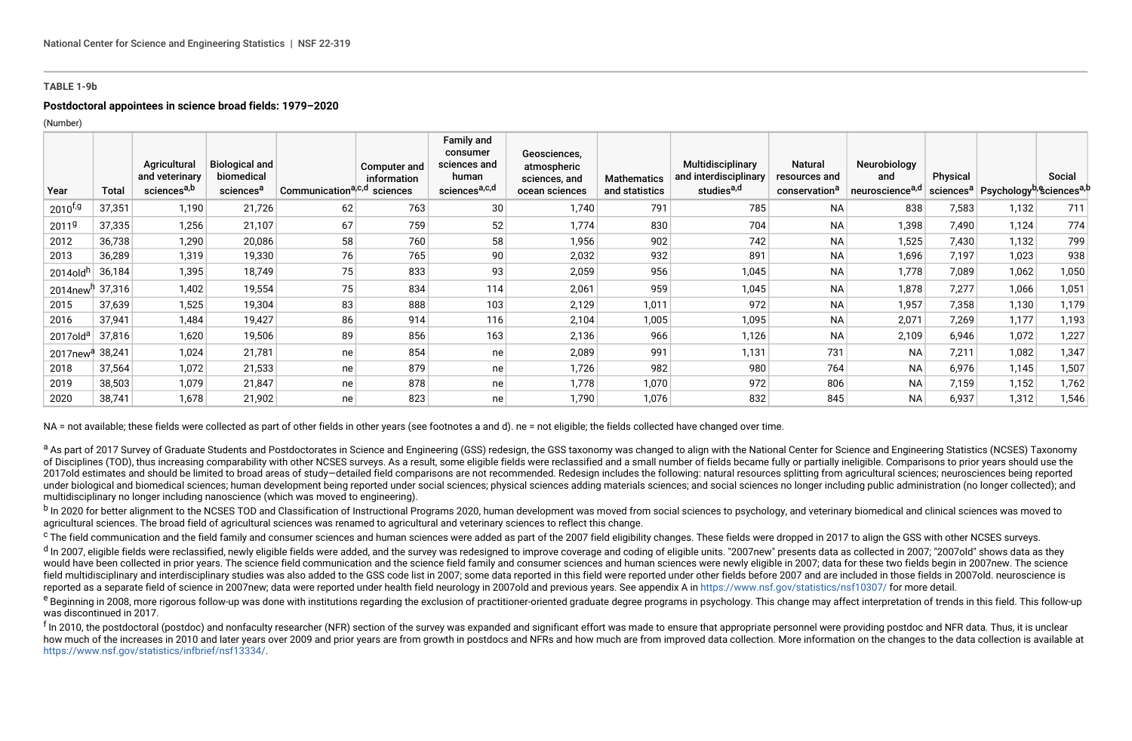#### **TABLE 1-9b**

### **Postdoctoral appointees in science broad fields: 1979–2020**

(Number)

| Year                    | Total  | Agricultural<br>and veterinary<br>sciences <sup>a,b</sup> | <b>Biological and</b><br>biomedical<br>sciences <sup>a</sup> | Communication <sup>a<sub>,c,d</sub></sup> | Computer and<br>information<br>sciences | Family and<br>consumer<br>sciences and<br>human<br>sciences <sup>a,c,d</sup> | Geosciences,<br>atmospheric<br>sciences, and<br>ocean sciences | <b>Mathematics</b><br>and statistics | Multidisciplinary<br>and interdisciplinary<br>studies <sup>a,d</sup> | <b>Natural</b><br>resources and<br>conservation <sup>a</sup> | Neurobiology<br>and<br>neuroscience <sup>a,d</sup> | Physical | sciences <sup>a</sup> Psychology <sup>b, e</sup> sciences <sup>a, b</sup> | Social |
|-------------------------|--------|-----------------------------------------------------------|--------------------------------------------------------------|-------------------------------------------|-----------------------------------------|------------------------------------------------------------------------------|----------------------------------------------------------------|--------------------------------------|----------------------------------------------------------------------|--------------------------------------------------------------|----------------------------------------------------|----------|---------------------------------------------------------------------------|--------|
| $2010^{f,g}$            | 37,351 | 1,190                                                     | 21,726                                                       | 62                                        | 763                                     | 30                                                                           | 1,740                                                          | 791                                  | 785                                                                  | <b>NA</b>                                                    | 838                                                | 7,583    | 1,132                                                                     | 711    |
| 2011 <sup>g</sup>       | 37,335 | 1,256                                                     | 21,107                                                       | 67                                        | 759                                     | 52                                                                           | 1,774                                                          | 830                                  | 704                                                                  | <b>NA</b>                                                    | 1,398                                              | 7,490    | 1,124                                                                     | 774    |
| 2012                    | 36,738 | 1,290                                                     | 20,086                                                       | 58                                        | 760                                     | 58                                                                           | 1,956                                                          | 902                                  | 742                                                                  | <b>NA</b>                                                    | 1,525                                              | 7,430    | 1,132                                                                     | 799    |
| 2013                    | 36,289 | 1,319                                                     | 19,330                                                       | 76                                        | 765                                     | 90                                                                           | 2,032                                                          | 932                                  | 891                                                                  | <b>NA</b>                                                    | 1,696                                              | 7,197    | 1,023                                                                     | 938    |
| 2014old <sup>h</sup>    | 36,184 | 1,395                                                     | 18,749                                                       | 75                                        | 833                                     | 93                                                                           | 2,059                                                          | 956                                  | 1,045                                                                | <b>NA</b>                                                    | 1,778                                              | 7,089    | 1,062                                                                     | 1,050  |
| $2014$ new <sup>h</sup> | 37,316 | 1,402                                                     | 19,554                                                       | 75                                        | 834                                     | 114                                                                          | 2,061                                                          | 959                                  | 1,045                                                                | <b>NA</b>                                                    | 1,878                                              | 7,277    | 1,066                                                                     | 1,051  |
| 2015                    | 37,639 | 1,525                                                     | 19,304                                                       | 83                                        | 888                                     | 103                                                                          | 2,129                                                          | 1,011                                | 972                                                                  | <b>NA</b>                                                    | 1,957                                              | 7,358    | 1,130                                                                     | 1,179  |
| 2016                    | 37,941 | 1,484                                                     | 19,427                                                       | 86                                        | 914                                     | 116                                                                          | 2,104                                                          | 1,005                                | 1,095                                                                | <b>NA</b>                                                    | 2,071                                              | 7,269    | 1,177                                                                     | 1,193  |
| 2017old <sup>a</sup>    | 37,816 | 1,620                                                     | 19,506                                                       | 89                                        | 856                                     | 163                                                                          | 2,136                                                          | 966                                  | 1,126                                                                | <b>NA</b>                                                    | 2,109                                              | 6,946    | 1,072                                                                     | 1,227  |
| 2017new <sup>a</sup>    | 38,241 | 1,024                                                     | 21,781                                                       | ne                                        | 854                                     | ne                                                                           | 2,089                                                          | 991                                  | 1,131                                                                | 731                                                          | <b>NA</b>                                          | 7,211    | 1,082                                                                     | 1,347  |
| 2018                    | 37,564 | 1,072                                                     | 21,533                                                       | ne                                        | 879                                     | ne                                                                           | 1,726                                                          | 982                                  | 980                                                                  | 764                                                          | <b>NA</b>                                          | 6,976    | 1,145                                                                     | 1,507  |
| 2019                    | 38,503 | 1,079                                                     | 21,847                                                       | ne                                        | 878                                     | ne                                                                           | 1,778                                                          | 1,070                                | 972                                                                  | 806                                                          | <b>NA</b>                                          | 7,159    | 1,152                                                                     | 1,762  |
| 2020                    | 38,741 | 1,678                                                     | 21,902                                                       | ne                                        | 823                                     | ne                                                                           | 1,790                                                          | 1,076                                | 832                                                                  | 845                                                          | <b>NA</b>                                          | 6,937    | 1,312                                                                     | 1,546  |

NA = not available; these fields were collected as part of other fields in other years (see footnotes a and d), ne = not eligible; the fields collected have changed over time.

a As part of 2017 Survey of Graduate Students and Postdoctorates in Science and Engineering (GSS) redesign, the GSS taxonomy was changed to align with the National Center for Science and Engineering Statistics (NCSES) Taxo of Disciplines (TOD), thus increasing comparability with other NCSES surveys. As a result, some eligible fields were reclassified and a small number of fields became fully or partially ineligible. Comparisons to prior year 2017old estimates and should be limited to broad areas of study-detailed field comparisons are not recommended. Redesign includes the following: natural resources splitting from agricultural sciences; neurosciences being r under biological and biomedical sciences; human development being reported under social sciences; physical sciences adding materials sciences; and social sciences no longer including public administration (no longer collec multidisciplinary no longer including nanoscience (which was moved to engineering).

<sup>b</sup> In 2020 for better alignment to the NCSES TOD and Classification of Instructional Programs 2020, human development was moved from social sciences to psychology, and veterinary biomedical and clinical sciences was moved agricultural sciences. The broad field of agricultural sciences was renamed to agricultural and veterinary sciences to reflect this change.

<sup>c</sup> The field communication and the field family and consumer sciences and human sciences were added as part of the 2007 field eligibility changes. These fields were dropped in 2017 to align the GSS with other NCSES survey

<sup>d</sup> In 2007, eligible fields were reclassified, newly eligible fields were added, and the survey was redesigned to improve coverage and coding of eligible units. "2007new" presents data as collected in 2007; "2007old" show would have been collected in prior years. The science field communication and the science field family and consumer sciences and human sciences were newly eligible in 2007; data for these two fields begin in 2007new. The s field multidisciplinary and interdisciplinary studies was also added to the GSS code list in 2007; some data reported in this field were reported under other fields before 2007 and are included in those fields in 2007old, reported as a separate field of science in 2007new; data were reported under health field neurology in 2007old and previous years. See appendix A in<https://www.nsf.gov/statistics/nsf10307/> for more detail.

e Beginning in 2008, more rigorous follow-up was done with institutions regarding the exclusion of practitioner-oriented graduate degree programs in psychology. This change may affect interpretation of trends in this field was discontinued in 2017.

<sup>f</sup> In 2010. the postdoctoral (postdoc) and nonfaculty researcher (NFR) section of the survey was expanded and significant effort was made to ensure that appropriate personnel were providing postdoc and NFR data. Thus, it how much of the increases in 2010 and later years over 2009 and prior years are from growth in postdocs and NFRs and how much are from improved data collection. More information on the changes to the data collection is ava [https://www.nsf.gov/statistics/infbrief/nsf13334/.](https://www.nsf.gov/statistics/infbrief/nsf13334/)